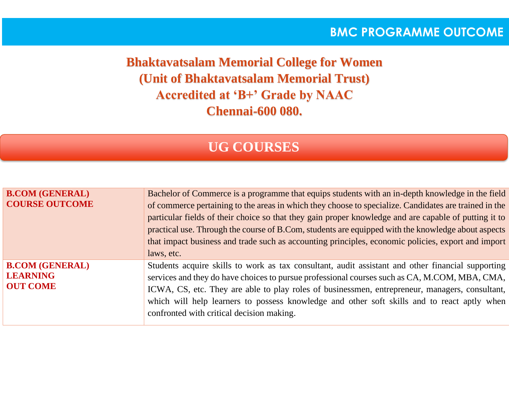### **BMC PROGRAMME OUTCOME**

**Bhaktavatsalam Memorial College for Women (Unit of Bhaktavatsalam Memorial Trust) Accredited at 'B+' Grade by NAAC Chennai-600 080.**

# **UG COURSES**

| <b>B.COM (GENERAL)</b><br><b>COURSE OUTCOME</b>              | Bachelor of Commerce is a programme that equips students with an in-depth knowledge in the field<br>of commerce pertaining to the areas in which they choose to specialize. Candidates are trained in the<br>particular fields of their choice so that they gain proper knowledge and are capable of putting it to<br>practical use. Through the course of B.Com, students are equipped with the knowledge about aspects<br>that impact business and trade such as accounting principles, economic policies, export and import<br>laws, etc. |
|--------------------------------------------------------------|----------------------------------------------------------------------------------------------------------------------------------------------------------------------------------------------------------------------------------------------------------------------------------------------------------------------------------------------------------------------------------------------------------------------------------------------------------------------------------------------------------------------------------------------|
| <b>B.COM (GENERAL)</b><br><b>LEARNING</b><br><b>OUT COME</b> | Students acquire skills to work as tax consultant, audit assistant and other financial supporting<br>services and they do have choices to pursue professional courses such as CA, M.COM, MBA, CMA,<br>ICWA, CS, etc. They are able to play roles of businessmen, entrepreneur, managers, consultant,<br>which will help learners to possess knowledge and other soft skills and to react aptly when<br>confronted with critical decision making.                                                                                             |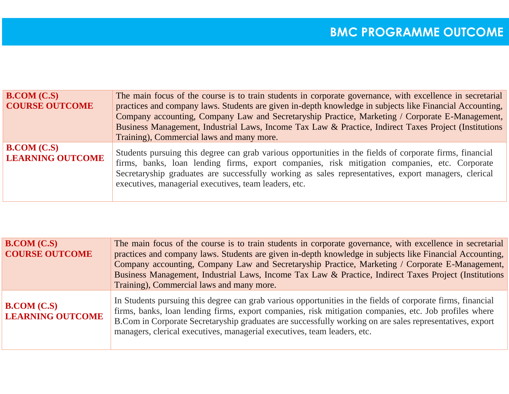| B. COM (C.S)                            | The main focus of the course is to train students in corporate governance, with excellence in secretarial                                                                                                                                                                                                                                                                  |
|-----------------------------------------|----------------------------------------------------------------------------------------------------------------------------------------------------------------------------------------------------------------------------------------------------------------------------------------------------------------------------------------------------------------------------|
| <b>COURSE OUTCOME</b>                   | practices and company laws. Students are given in-depth knowledge in subjects like Financial Accounting,                                                                                                                                                                                                                                                                   |
|                                         | Company accounting, Company Law and Secretaryship Practice, Marketing / Corporate E-Management,                                                                                                                                                                                                                                                                            |
|                                         | Business Management, Industrial Laws, Income Tax Law & Practice, Indirect Taxes Project (Institutions                                                                                                                                                                                                                                                                      |
|                                         | Training), Commercial laws and many more.                                                                                                                                                                                                                                                                                                                                  |
| B. COM (C.S)<br><b>LEARNING OUTCOME</b> | Students pursuing this degree can grab various opportunities in the fields of corporate firms, financial<br>firms, banks, loan lending firms, export companies, risk mitigation companies, etc. Corporate<br>Secretaryship graduates are successfully working as sales representatives, export managers, clerical<br>executives, managerial executives, team leaders, etc. |
|                                         |                                                                                                                                                                                                                                                                                                                                                                            |

| B. COM (C.S)<br><b>COURSE OUTCOME</b>   | The main focus of the course is to train students in corporate governance, with excellence in secretarial<br>practices and company laws. Students are given in-depth knowledge in subjects like Financial Accounting,<br>Company accounting, Company Law and Secretaryship Practice, Marketing / Corporate E-Management,<br>Business Management, Industrial Laws, Income Tax Law & Practice, Indirect Taxes Project (Institutions<br>Training), Commercial laws and many more. |
|-----------------------------------------|--------------------------------------------------------------------------------------------------------------------------------------------------------------------------------------------------------------------------------------------------------------------------------------------------------------------------------------------------------------------------------------------------------------------------------------------------------------------------------|
| B. COM (C.S)<br><b>LEARNING OUTCOME</b> | In Students pursuing this degree can grab various opportunities in the fields of corporate firms, financial<br>firms, banks, loan lending firms, export companies, risk mitigation companies, etc. Job profiles where<br>B. Com in Corporate Secretaryship graduates are successfully working on are sales representatives, export<br>managers, clerical executives, managerial executives, team leaders, etc.                                                                 |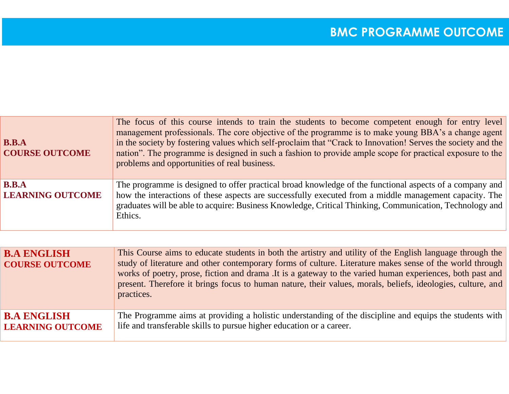| B.B.A<br><b>COURSE OUTCOME</b>                                | The focus of this course intends to train the students to become competent enough for entry level<br>management professionals. The core objective of the programme is to make young BBA's a change agent<br>in the society by fostering values which self-proclaim that "Crack to Innovation! Serves the society and the<br>nation". The programme is designed in such a fashion to provide ample scope for practical exposure to the<br>problems and opportunities of real business. |
|---------------------------------------------------------------|---------------------------------------------------------------------------------------------------------------------------------------------------------------------------------------------------------------------------------------------------------------------------------------------------------------------------------------------------------------------------------------------------------------------------------------------------------------------------------------|
| $\mathbf{B}.\mathbf{B}.\mathbf{A}$<br><b>LEARNING OUTCOME</b> | The programme is designed to offer practical broad knowledge of the functional aspects of a company and<br>how the interactions of these aspects are successfully executed from a middle management capacity. The<br>graduates will be able to acquire: Business Knowledge, Critical Thinking, Communication, Technology and<br>Ethics.                                                                                                                                               |

| <b>B.A ENGLISH</b><br><b>COURSE OUTCOME</b> | This Course aims to educate students in both the artistry and utility of the English language through the<br>study of literature and other contemporary forms of culture. Literature makes sense of the world through<br>works of poetry, prose, fiction and drama. It is a gateway to the varied human experiences, both past and<br>present. Therefore it brings focus to human nature, their values, morals, beliefs, ideologies, culture, and<br>practices. |
|---------------------------------------------|-----------------------------------------------------------------------------------------------------------------------------------------------------------------------------------------------------------------------------------------------------------------------------------------------------------------------------------------------------------------------------------------------------------------------------------------------------------------|
| <b>B.A ENGLISH</b>                          | The Programme aims at providing a holistic understanding of the discipline and equips the students with                                                                                                                                                                                                                                                                                                                                                         |
| <b>LEARNING OUTCOME</b>                     | life and transferable skills to pursue higher education or a career.                                                                                                                                                                                                                                                                                                                                                                                            |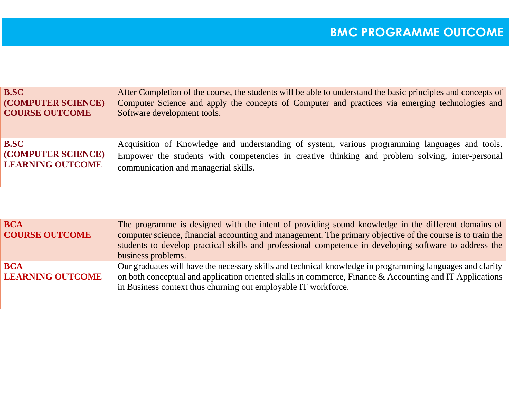| <b>B.SC</b>               | After Completion of the course, the students will be able to understand the basic principles and concepts of |
|---------------------------|--------------------------------------------------------------------------------------------------------------|
| (COMPUTER SCIENCE)        | Computer Science and apply the concepts of Computer and practices via emerging technologies and              |
| <b>COURSE OUTCOME</b>     | Software development tools.                                                                                  |
| <b>B.SC</b>               | Acquisition of Knowledge and understanding of system, various programming languages and tools.               |
| <b>(COMPUTER SCIENCE)</b> | Empower the students with competencies in creative thinking and problem solving, inter-personal              |
| <b>LEARNING OUTCOME</b>   | communication and managerial skills.                                                                         |

| <b>BCA</b><br><b>COURSE OUTCOME</b>   | The programme is designed with the intent of providing sound knowledge in the different domains of<br>computer science, financial accounting and management. The primary objective of the course is to train the<br>students to develop practical skills and professional competence in developing software to address the<br>business problems. |
|---------------------------------------|--------------------------------------------------------------------------------------------------------------------------------------------------------------------------------------------------------------------------------------------------------------------------------------------------------------------------------------------------|
| <b>BCA</b><br><b>LEARNING OUTCOME</b> | Our graduates will have the necessary skills and technical knowledge in programming languages and clarity<br>on both conceptual and application oriented skills in commerce, Finance & Accounting and IT Applications<br>in Business context thus churning out employable IT workforce.                                                          |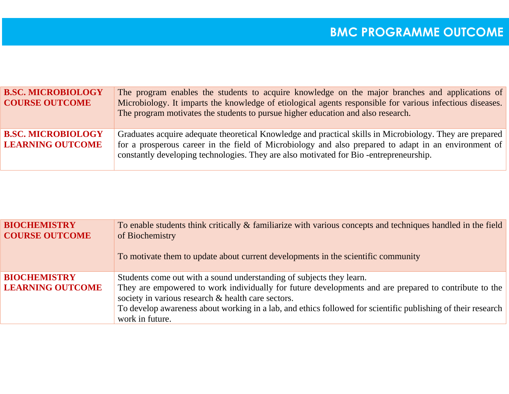| <b>B.SC. MICROBIOLOGY</b><br><b>COURSE OUTCOME</b>   | The program enables the students to acquire knowledge on the major branches and applications of<br>Microbiology. It imparts the knowledge of etiological agents responsible for various infectious diseases.<br>The program motivates the students to pursue higher education and also research.          |
|------------------------------------------------------|-----------------------------------------------------------------------------------------------------------------------------------------------------------------------------------------------------------------------------------------------------------------------------------------------------------|
| <b>B.SC. MICROBIOLOGY</b><br><b>LEARNING OUTCOME</b> | Graduates acquire adequate theoretical Knowledge and practical skills in Microbiology. They are prepared<br>for a prosperous career in the field of Microbiology and also prepared to adapt in an environment of<br>constantly developing technologies. They are also motivated for Bio-entrepreneurship. |

| <b>BIOCHEMISTRY</b><br><b>COURSE OUTCOME</b>   | To enable students think critically & familiarize with various concepts and techniques handled in the field<br>of Biochemistry<br>To motivate them to update about current developments in the scientific community                                                                                                                                                    |
|------------------------------------------------|------------------------------------------------------------------------------------------------------------------------------------------------------------------------------------------------------------------------------------------------------------------------------------------------------------------------------------------------------------------------|
| <b>BIOCHEMISTRY</b><br><b>LEARNING OUTCOME</b> | Students come out with a sound understanding of subjects they learn.<br>They are empowered to work individually for future developments and are prepared to contribute to the<br>society in various research & health care sectors.<br>To develop awareness about working in a lab, and ethics followed for scientific publishing of their research<br>work in future. |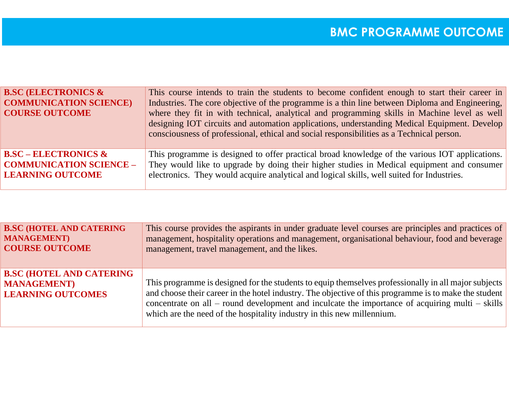| <b>B.SC (ELECTRONICS &amp;</b><br><b>COMMUNICATION SCIENCE)</b><br><b>COURSE OUTCOME</b> | This course intends to train the students to become confident enough to start their career in<br>Industries. The core objective of the programme is a thin line between Diploma and Engineering,<br>where they fit in with technical, analytical and programming skills in Machine level as well<br>designing IOT circuits and automation applications, understanding Medical Equipment. Develop<br>consciousness of professional, ethical and social responsibilities as a Technical person. |
|------------------------------------------------------------------------------------------|-----------------------------------------------------------------------------------------------------------------------------------------------------------------------------------------------------------------------------------------------------------------------------------------------------------------------------------------------------------------------------------------------------------------------------------------------------------------------------------------------|
| $BSC - ELECTRONICS$ &                                                                    | This programme is designed to offer practical broad knowledge of the various IOT applications.                                                                                                                                                                                                                                                                                                                                                                                                |
| <b>COMMUNICATION SCIENCE -</b>                                                           | They would like to upgrade by doing their higher studies in Medical equipment and consumer                                                                                                                                                                                                                                                                                                                                                                                                    |
| <b>LEARNING OUTCOME</b>                                                                  | electronics. They would acquire analytical and logical skills, well suited for Industries.                                                                                                                                                                                                                                                                                                                                                                                                    |

| <b>B.SC (HOTEL AND CATERING</b>                                                    | This course provides the aspirants in under graduate level courses are principles and practices of                                                                                                                                                                                                                                                                                         |
|------------------------------------------------------------------------------------|--------------------------------------------------------------------------------------------------------------------------------------------------------------------------------------------------------------------------------------------------------------------------------------------------------------------------------------------------------------------------------------------|
| <b>MANAGEMENT</b> )                                                                | management, hospitality operations and management, organisational behaviour, food and beverage                                                                                                                                                                                                                                                                                             |
| <b>COURSE OUTCOME</b>                                                              | management, travel management, and the likes.                                                                                                                                                                                                                                                                                                                                              |
| <b>B.SC (HOTEL AND CATERING</b><br><b>MANAGEMENT</b> )<br><b>LEARNING OUTCOMES</b> | This programme is designed for the students to equip themselves professionally in all major subjects<br>and choose their career in the hotel industry. The objective of this programme is to make the student<br>concentrate on all – round development and inculcate the importance of acquiring multi – skills<br>which are the need of the hospitality industry in this new millennium. |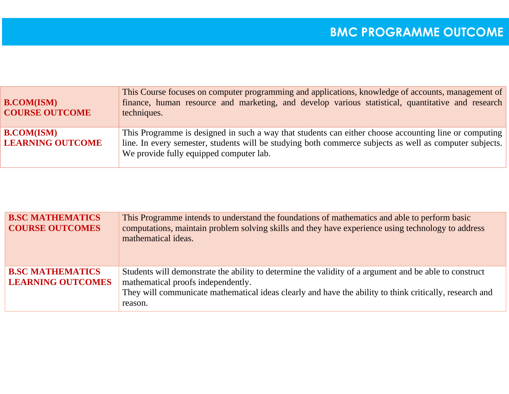| <b>B.COM(ISM)</b><br><b>COURSE OUTCOME</b>   | This Course focuses on computer programming and applications, knowledge of accounts, management of<br>finance, human resource and marketing, and develop various statistical, quantitative and research<br>techniques.                                      |
|----------------------------------------------|-------------------------------------------------------------------------------------------------------------------------------------------------------------------------------------------------------------------------------------------------------------|
| <b>B.COM(ISM)</b><br><b>LEARNING OUTCOME</b> | This Programme is designed in such a way that students can either choose accounting line or computing<br>line. In every semester, students will be studying both commerce subjects as well as computer subjects.<br>We provide fully equipped computer lab. |

| <b>B.SC MATHEMATICS</b><br><b>COURSE OUTCOMES</b>   | This Programme intends to understand the foundations of mathematics and able to perform basic<br>computations, maintain problem solving skills and they have experience using technology to address<br>mathematical ideas.                                         |
|-----------------------------------------------------|--------------------------------------------------------------------------------------------------------------------------------------------------------------------------------------------------------------------------------------------------------------------|
| <b>B.SC MATHEMATICS</b><br><b>LEARNING OUTCOMES</b> | Students will demonstrate the ability to determine the validity of a argument and be able to construct<br>mathematical proofs independently.<br>They will communicate mathematical ideas clearly and have the ability to think critically, research and<br>reason. |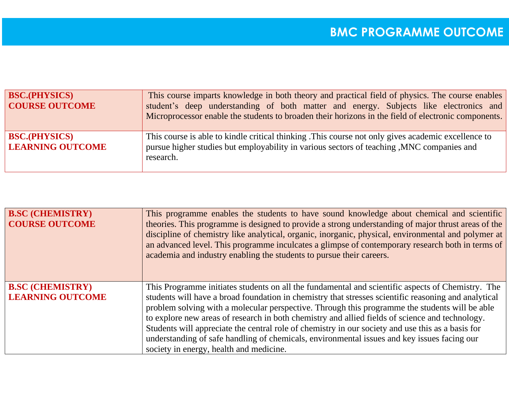| <b>BSC.(PHYSICS)</b><br><b>COURSE OUTCOME</b>   | This course imparts knowledge in both theory and practical field of physics. The course enables<br>student's deep understanding of both matter and energy. Subjects like electronics and<br>Microprocessor enable the students to broaden their horizons in the field of electronic components. |
|-------------------------------------------------|-------------------------------------------------------------------------------------------------------------------------------------------------------------------------------------------------------------------------------------------------------------------------------------------------|
| <b>BSC.(PHYSICS)</b><br><b>LEARNING OUTCOME</b> | This course is able to kindle critical thinking. This course not only gives academic excellence to<br>pursue higher studies but employability in various sectors of teaching , MNC companies and<br>research.                                                                                   |

| <b>B.SC (CHEMISTRY)</b><br><b>COURSE OUTCOME</b>   | This programme enables the students to have sound knowledge about chemical and scientific<br>theories. This programme is designed to provide a strong understanding of major thrust areas of the<br>discipline of chemistry like analytical, organic, inorganic, physical, environmental and polymer at<br>an advanced level. This programme inculcates a glimpse of contemporary research both in terms of<br>academia and industry enabling the students to pursue their careers. |
|----------------------------------------------------|-------------------------------------------------------------------------------------------------------------------------------------------------------------------------------------------------------------------------------------------------------------------------------------------------------------------------------------------------------------------------------------------------------------------------------------------------------------------------------------|
| <b>B.SC (CHEMISTRY)</b><br><b>LEARNING OUTCOME</b> | This Programme initiates students on all the fundamental and scientific aspects of Chemistry. The<br>students will have a broad foundation in chemistry that stresses scientific reasoning and analytical                                                                                                                                                                                                                                                                           |
|                                                    | problem solving with a molecular perspective. Through this programme the students will be able                                                                                                                                                                                                                                                                                                                                                                                      |
|                                                    | to explore new areas of research in both chemistry and allied fields of science and technology.                                                                                                                                                                                                                                                                                                                                                                                     |
|                                                    | Students will appreciate the central role of chemistry in our society and use this as a basis for                                                                                                                                                                                                                                                                                                                                                                                   |
|                                                    | understanding of safe handling of chemicals, environmental issues and key issues facing our                                                                                                                                                                                                                                                                                                                                                                                         |
|                                                    | society in energy, health and medicine.                                                                                                                                                                                                                                                                                                                                                                                                                                             |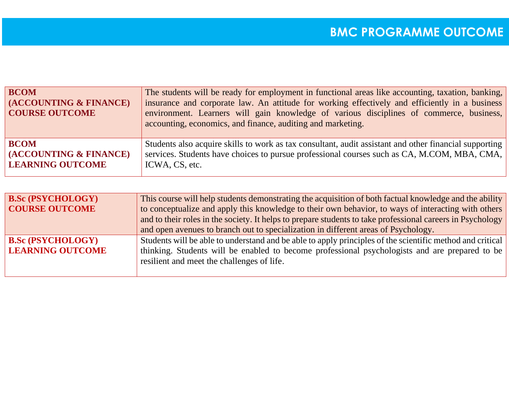| <b>BCOM</b><br>(ACCOUNTING & FINANCE)<br><b>COURSE OUTCOME</b> | The students will be ready for employment in functional areas like accounting, taxation, banking,<br>insurance and corporate law. An attitude for working effectively and efficiently in a business<br>environment. Learners will gain knowledge of various disciplines of commerce, business,<br>accounting, economics, and finance, auditing and marketing. |
|----------------------------------------------------------------|---------------------------------------------------------------------------------------------------------------------------------------------------------------------------------------------------------------------------------------------------------------------------------------------------------------------------------------------------------------|
| <b>BCOM</b>                                                    | Students also acquire skills to work as tax consultant, audit assistant and other financial supporting                                                                                                                                                                                                                                                        |
| (ACCOUNTING & FINANCE)                                         | services. Students have choices to pursue professional courses such as CA, M.COM, MBA, CMA,                                                                                                                                                                                                                                                                   |
| <b>LEARNING OUTCOME</b>                                        | ICWA, CS, etc.                                                                                                                                                                                                                                                                                                                                                |

| <b>B.Sc (PSYCHOLOGY)</b><br><b>COURSE OUTCOME</b>   | This course will help students demonstrating the acquisition of both factual knowledge and the ability<br>to conceptualize and apply this knowledge to their own behavior, to ways of interacting with others<br>and to their roles in the society. It helps to prepare students to take professional careers in Psychology<br>and open avenues to branch out to specialization in different areas of Psychology. |
|-----------------------------------------------------|-------------------------------------------------------------------------------------------------------------------------------------------------------------------------------------------------------------------------------------------------------------------------------------------------------------------------------------------------------------------------------------------------------------------|
| <b>B.Sc (PSYCHOLOGY)</b><br><b>LEARNING OUTCOME</b> | Students will be able to understand and be able to apply principles of the scientific method and critical<br>thinking. Students will be enabled to become professional psychologists and are prepared to be<br>resilient and meet the challenges of life.                                                                                                                                                         |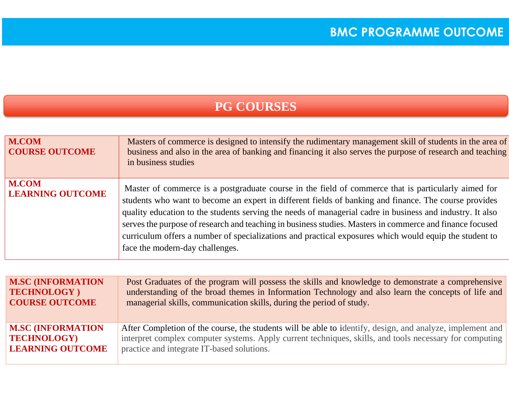## **PG COURSES**

| <b>M.COM</b><br><b>COURSE OUTCOME</b>   | Masters of commerce is designed to intensify the rudimentary management skill of students in the area of<br>business and also in the area of banking and financing it also serves the purpose of research and teaching<br>in business studies                                                                                                                                                                                                                                                                                                                                      |
|-----------------------------------------|------------------------------------------------------------------------------------------------------------------------------------------------------------------------------------------------------------------------------------------------------------------------------------------------------------------------------------------------------------------------------------------------------------------------------------------------------------------------------------------------------------------------------------------------------------------------------------|
| <b>M.COM</b><br><b>LEARNING OUTCOME</b> | Master of commerce is a postgraduate course in the field of commerce that is particularly aimed for<br>students who want to become an expert in different fields of banking and finance. The course provides<br>quality education to the students serving the needs of managerial cadre in business and industry. It also<br>serves the purpose of research and teaching in business studies. Masters in commerce and finance focused<br>curriculum offers a number of specializations and practical exposures which would equip the student to<br>face the modern-day challenges. |

| <b>M.SC (INFORMATION</b> | Post Graduates of the program will possess the skills and knowledge to demonstrate a comprehensive        |
|--------------------------|-----------------------------------------------------------------------------------------------------------|
| TECHNOLOGY)              | understanding of the broad themes in Information Technology and also learn the concepts of life and       |
| <b>COURSE OUTCOME</b>    | managerial skills, communication skills, during the period of study.                                      |
| <b>M.SC (INFORMATION</b> | After Completion of the course, the students will be able to identify, design, and analyze, implement and |
| <b>TECHNOLOGY)</b>       | interpret complex computer systems. Apply current techniques, skills, and tools necessary for computing   |
| <b>LEARNING OUTCOME</b>  | practice and integrate IT-based solutions.                                                                |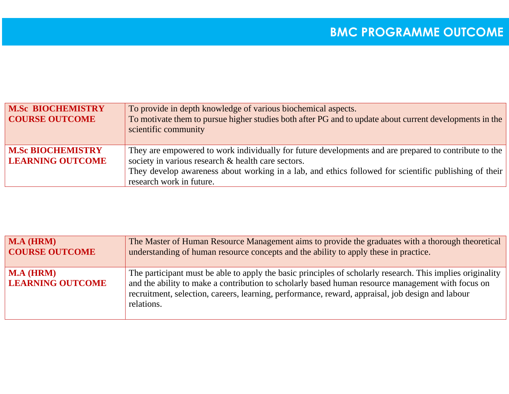| <b>M.Sc BIOCHEMISTRY</b><br><b>COURSE OUTCOME</b>   | To provide in depth knowledge of various biochemical aspects.<br>To motivate them to pursue higher studies both after PG and to update about current developments in the<br>scientific community |
|-----------------------------------------------------|--------------------------------------------------------------------------------------------------------------------------------------------------------------------------------------------------|
| <b>M.Sc BIOCHEMISTRY</b><br><b>LEARNING OUTCOME</b> | They are empowered to work individually for future developments and are prepared to contribute to the<br>society in various research & health care sectors.                                      |
|                                                     | They develop awareness about working in a lab, and ethics followed for scientific publishing of their                                                                                            |
|                                                     | research work in future.                                                                                                                                                                         |

| <b>M.A (HRM)</b>                            | The Master of Human Resource Management aims to provide the graduates with a thorough theoretical                                                                                                                                                                                                                                 |
|---------------------------------------------|-----------------------------------------------------------------------------------------------------------------------------------------------------------------------------------------------------------------------------------------------------------------------------------------------------------------------------------|
| <b>COURSE OUTCOME</b>                       | understanding of human resource concepts and the ability to apply these in practice.                                                                                                                                                                                                                                              |
| <b>M.A (HRM)</b><br><b>LEARNING OUTCOME</b> | The participant must be able to apply the basic principles of scholarly research. This implies originality<br>and the ability to make a contribution to scholarly based human resource management with focus on<br>recruitment, selection, careers, learning, performance, reward, appraisal, job design and labour<br>relations. |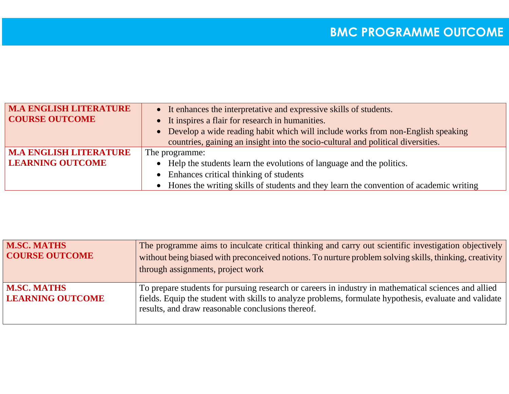| <b>M.A ENGLISH LITERATURE</b> | • It enhances the interpretative and expressive skills of students.                      |
|-------------------------------|------------------------------------------------------------------------------------------|
| <b>COURSE OUTCOME</b>         | • It inspires a flair for research in humanities.                                        |
|                               | • Develop a wide reading habit which will include works from non-English speaking        |
|                               | countries, gaining an insight into the socio-cultural and political diversities.         |
| <b>M.A ENGLISH LITERATURE</b> | The programme:                                                                           |
| <b>LEARNING OUTCOME</b>       | • Help the students learn the evolutions of language and the politics.                   |
|                               | • Enhances critical thinking of students                                                 |
|                               | • Hones the writing skills of students and they learn the convention of academic writing |

| <b>M.SC. MATHS</b><br><b>COURSE OUTCOME</b>   | The programme aims to inculcate critical thinking and carry out scientific investigation objectively<br>without being biased with preconceived notions. To nurture problem solving skills, thinking, creativity<br>through assignments, project work                |
|-----------------------------------------------|---------------------------------------------------------------------------------------------------------------------------------------------------------------------------------------------------------------------------------------------------------------------|
| <b>M.SC. MATHS</b><br><b>LEARNING OUTCOME</b> | To prepare students for pursuing research or careers in industry in mathematical sciences and allied<br>fields. Equip the student with skills to analyze problems, formulate hypothesis, evaluate and validate<br>results, and draw reasonable conclusions thereof. |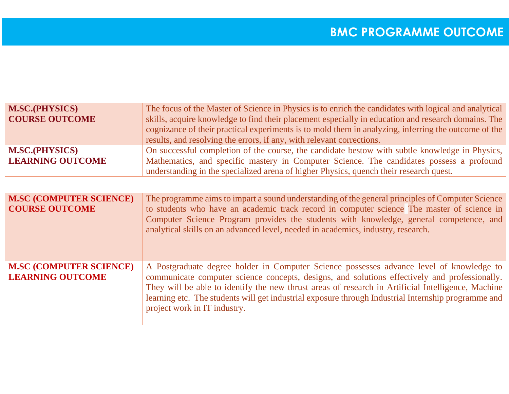| <b>M.SC.(PHYSICS)</b>   | The focus of the Master of Science in Physics is to enrich the candidates with logical and analytical |
|-------------------------|-------------------------------------------------------------------------------------------------------|
| <b>COURSE OUTCOME</b>   | skills, acquire knowledge to find their placement especially in education and research domains. The   |
|                         | cognizance of their practical experiments is to mold them in analyzing, inferring the outcome of the  |
|                         | results, and resolving the errors, if any, with relevant corrections.                                 |
| <b>M.SC.(PHYSICS)</b>   | On successful completion of the course, the candidate bestow with subtle knowledge in Physics,        |
| <b>LEARNING OUTCOME</b> | Mathematics, and specific mastery in Computer Science. The candidates possess a profound              |
|                         | understanding in the specialized arena of higher Physics, quench their research quest.                |
|                         |                                                                                                       |

| <b>M.SC (COMPUTER SCIENCE)</b><br><b>COURSE OUTCOME</b>   | The programme aims to impart a sound understanding of the general principles of Computer Science<br>to students who have an academic track record in computer science The master of science in<br>Computer Science Program provides the students with knowledge, general competence, and<br>analytical skills on an advanced level, needed in academics, industry, research.                                                           |
|-----------------------------------------------------------|----------------------------------------------------------------------------------------------------------------------------------------------------------------------------------------------------------------------------------------------------------------------------------------------------------------------------------------------------------------------------------------------------------------------------------------|
| <b>M.SC (COMPUTER SCIENCE)</b><br><b>LEARNING OUTCOME</b> | A Postgraduate degree holder in Computer Science possesses advance level of knowledge to<br>communicate computer science concepts, designs, and solutions effectively and professionally.<br>They will be able to identify the new thrust areas of research in Artificial Intelligence, Machine<br>learning etc. The students will get industrial exposure through Industrial Internship programme and<br>project work in IT industry. |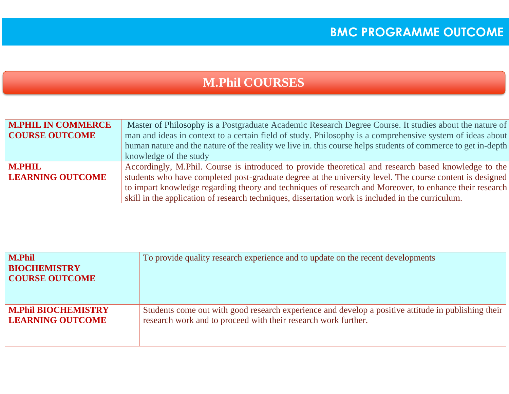### **M.Phil COURSES**

| <b>M.PHIL IN COMMERCE</b> | Master of Philosophy is a Postgraduate Academic Research Degree Course. It studies about the nature of        |
|---------------------------|---------------------------------------------------------------------------------------------------------------|
| <b>COURSE OUTCOME</b>     | man and ideas in context to a certain field of study. Philosophy is a comprehensive system of ideas about     |
|                           | human nature and the nature of the reality we live in. this course helps students of commerce to get in-depth |
|                           | knowledge of the study                                                                                        |
| <b>M.PHIL</b>             | Accordingly, M.Phil. Course is introduced to provide theoretical and research based knowledge to the          |
| <b>LEARNING OUTCOME</b>   | students who have completed post-graduate degree at the university level. The course content is designed      |
|                           | to impart knowledge regarding theory and techniques of research and Moreover, to enhance their research       |
|                           | skill in the application of research techniques, dissertation work is included in the curriculum.             |

| <b>M.Phil</b><br><b>BIOCHEMISTRY</b><br><b>COURSE OUTCOME</b> | To provide quality research experience and to update on the recent developments                     |
|---------------------------------------------------------------|-----------------------------------------------------------------------------------------------------|
| <b>M.Phil BIOCHEMISTRY</b>                                    | Students come out with good research experience and develop a positive attitude in publishing their |
| <b>LEARNING OUTCOME</b>                                       | research work and to proceed with their research work further.                                      |